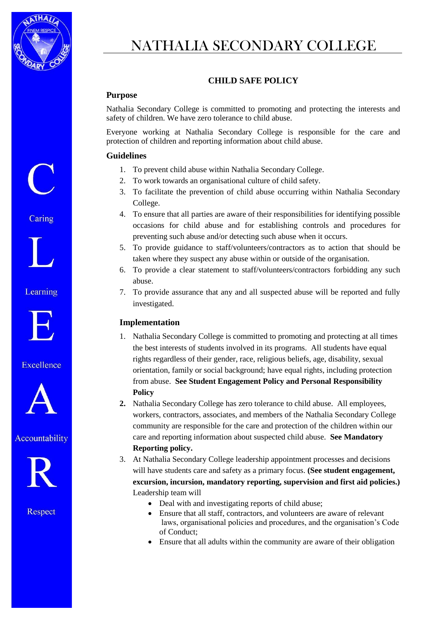

# NATHALIA SECONDARY COLLEGE

## **CHILD SAFE POLICY**

## **Purpose**

Nathalia Secondary College is committed to promoting and protecting the interests and safety of children. We have zero tolerance to child abuse.

Everyone working at Nathalia Secondary College is responsible for the care and protection of children and reporting information about child abuse.

### **Guidelines**

- 1. To prevent child abuse within Nathalia Secondary College.
- 2. To work towards an organisational culture of child safety.
- 3. To facilitate the prevention of child abuse occurring within Nathalia Secondary College.
- 4. To ensure that all parties are aware of their responsibilities for identifying possible occasions for child abuse and for establishing controls and procedures for preventing such abuse and/or detecting such abuse when it occurs.
- 5. To provide guidance to staff/volunteers/contractors as to action that should be taken where they suspect any abuse within or outside of the organisation.
- 6. To provide a clear statement to staff/volunteers/contractors forbidding any such abuse.
- 7. To provide assurance that any and all suspected abuse will be reported and fully investigated.

#### **Implementation**

- 1. Nathalia Secondary College is committed to promoting and protecting at all times the best interests of students involved in its programs. All students have equal rights regardless of their gender, race, religious beliefs, age, disability, sexual orientation, family or social background; have equal rights, including protection from abuse. **See Student Engagement Policy and Personal Responsibility Policy**
- **2.** Nathalia Secondary College has zero tolerance to child abuse. All employees, workers, contractors, associates, and members of the Nathalia Secondary College community are responsible for the care and protection of the children within our care and reporting information about suspected child abuse. **See Mandatory Reporting policy.**
- 3. At Nathalia Secondary College leadership appointment processes and decisions will have students care and safety as a primary focus. **(See student engagement, excursion, incursion, mandatory reporting, supervision and first aid policies.)** Leadership team will
	- Deal with and investigating reports of child abuse:
	- Ensure that all staff, contractors, and volunteers are aware of relevant laws, organisational policies and procedures, and the organisation's Code of Conduct;
	- Ensure that all adults within the community are aware of their obligation

Caring



Learning



Excellence



Accountability



Respect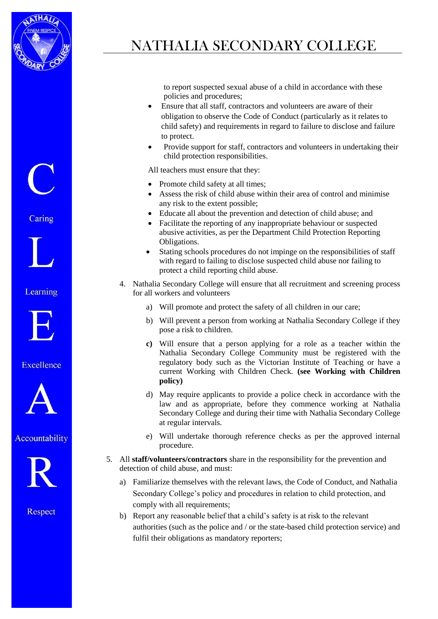

# NATHALIA SECONDARY COLLEGE

to report suspected sexual abuse of a child in accordance with these policies and procedures;

- Ensure that all staff, contractors and volunteers are aware of their obligation to observe the Code of Conduct (particularly as it relates to child safety) and requirements in regard to failure to disclose and failure to protect.
- Provide support for staff, contractors and volunteers in undertaking their child protection responsibilities.

All teachers must ensure that they:

- Promote child safety at all times;
- Assess the risk of child abuse within their area of control and minimise any risk to the extent possible;
- Educate all about the prevention and detection of child abuse; and
- Facilitate the reporting of any inappropriate behaviour or suspected abusive activities, as per the Department Child Protection Reporting Obligations.
- Stating schools procedures do not impinge on the responsibilities of staff with regard to failing to disclose suspected child abuse nor failing to protect a child reporting child abuse.
- 4. Nathalia Secondary College will ensure that all recruitment and screening process for all workers and volunteers
	- a) Will promote and protect the safety of all children in our care;
	- b) Will prevent a person from working at Nathalia Secondary College if they pose a risk to children.
	- **c)** Will ensure that a person applying for a role as a teacher within the Nathalia Secondary College Community must be registered with the regulatory body such as the Victorian Institute of Teaching or have a current Working with Children Check. **(see Working with Children policy)**
	- d) May require applicants to provide a police check in accordance with the law and as appropriate, before they commence working at Nathalia Secondary College and during their time with Nathalia Secondary College at regular intervals.
	- e) Will undertake thorough reference checks as per the approved internal procedure.
- 5. All **staff/volunteers/contractors** share in the responsibility for the prevention and detection of child abuse, and must:
	- a) Familiarize themselves with the relevant laws, the Code of Conduct, and Nathalia Secondary College's policy and procedures in relation to child protection, and comply with all requirements;
	- b) Report any reasonable belief that a child's safety is at risk to the relevant authorities (such as the police and / or the state-based child protection service) and fulfil their obligations as mandatory reporters;

Caring



Learning



Excellence



Accountability



Respect